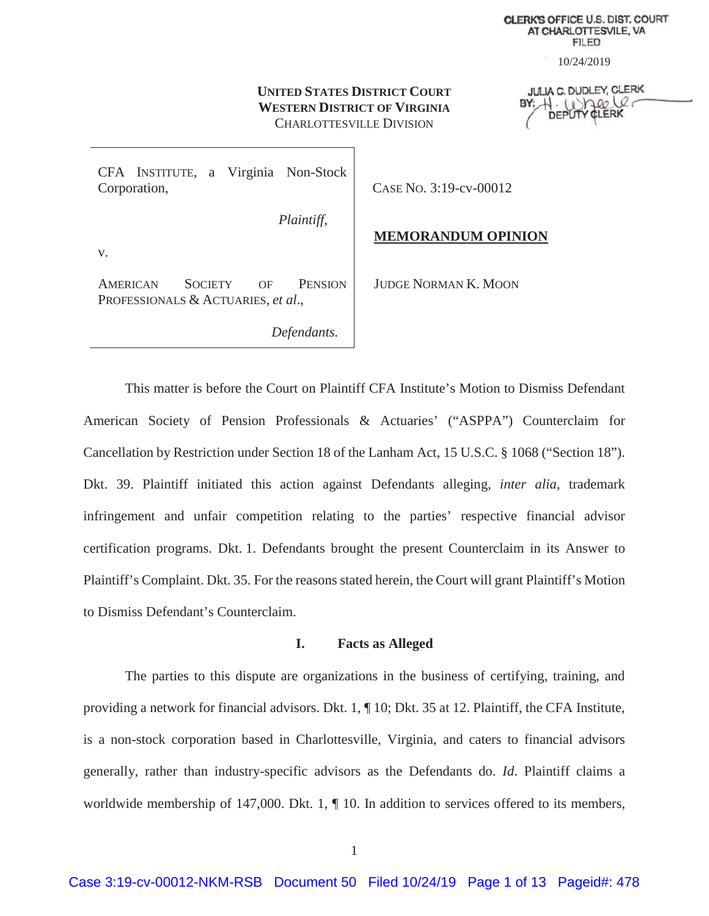**CLERK'S OFFICE U.S. DIST. COURT** AT CHARLOTTESVILE, VA **FILED** 

10/24/2019

# **UNITED STATES DISTRICT COURT WESTERN DISTRICT OF VIRGINIA** CHARLOTTESVILLE DIVISION

**JULIA C. DUDLEY, CLERK**  $1.10$ perce DEPUT CLERK

CFA INSTITUTE, a Virginia Non-Stock Corporation,

CASE NO. 3:19-cv-00012

*Plaintiff*,

 *Defendants.* 

# **MEMORANDUM OPINION**

v.

AMERICAN SOCIETY OF PENSION PROFESSIONALS & ACTUARIES, *et al*.,

JUDGE NORMAN K. MOON

This matter is before the Court on Plaintiff CFA Institute's Motion to Dismiss Defendant American Society of Pension Professionals & Actuaries' ("ASPPA") Counterclaim for Cancellation by Restriction under Section 18 of the Lanham Act, 15 U.S.C. § 1068 ("Section 18"). Dkt. 39. Plaintiff initiated this action against Defendants alleging, *inter alia*, trademark infringement and unfair competition relating to the parties' respective financial advisor certification programs. Dkt. 1. Defendants brought the present Counterclaim in its Answer to Plaintiff's Complaint. Dkt. 35. For the reasons stated herein, the Court will grant Plaintiff's Motion to Dismiss Defendant's Counterclaim.

## **I. Facts as Alleged**

The parties to this dispute are organizations in the business of certifying, training, and providing a network for financial advisors. Dkt. 1, ¶ 10; Dkt. 35 at 12. Plaintiff, the CFA Institute, is a non-stock corporation based in Charlottesville, Virginia, and caters to financial advisors generally, rather than industry-specific advisors as the Defendants do. *Id*. Plaintiff claims a worldwide membership of 147,000. Dkt. 1,  $\P$  10. In addition to services offered to its members,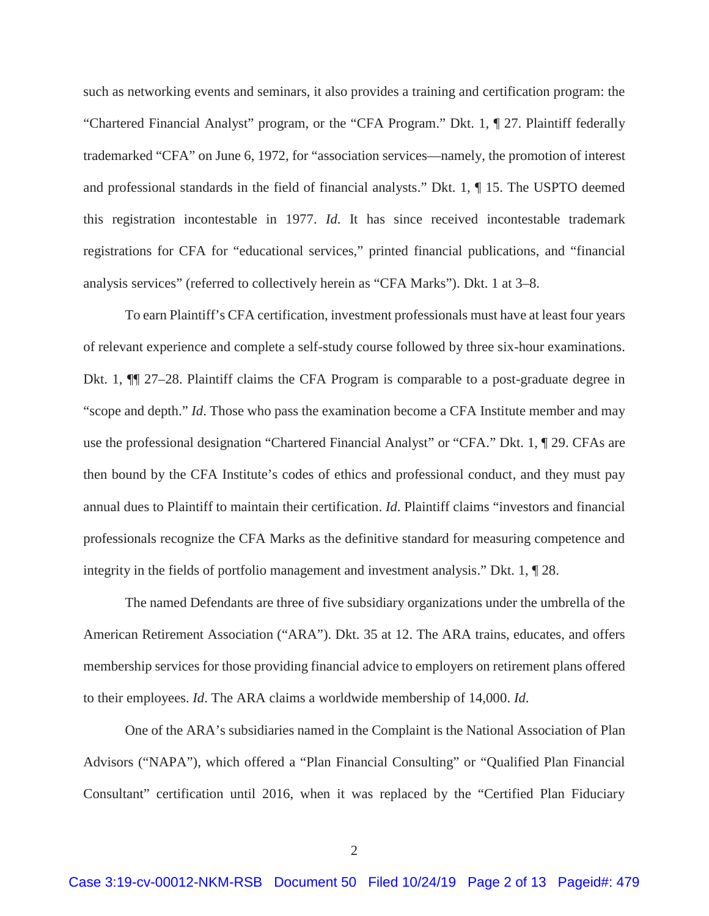such as networking events and seminars, it also provides a training and certification program: the "Chartered Financial Analyst" program, or the "CFA Program." Dkt. 1, ¶ 27. Plaintiff federally trademarked "CFA" on June 6, 1972, for "association services—namely, the promotion of interest and professional standards in the field of financial analysts." Dkt. 1, ¶ 15. The USPTO deemed this registration incontestable in 1977. *Id*. It has since received incontestable trademark registrations for CFA for "educational services," printed financial publications, and "financial analysis services" (referred to collectively herein as "CFA Marks"). Dkt. 1 at 3–8.

To earn Plaintiff's CFA certification, investment professionals must have at least four years of relevant experience and complete a self-study course followed by three six-hour examinations. Dkt. 1, ¶¶ 27–28. Plaintiff claims the CFA Program is comparable to a post-graduate degree in "scope and depth." *Id*. Those who pass the examination become a CFA Institute member and may use the professional designation "Chartered Financial Analyst" or "CFA." Dkt. 1, ¶ 29. CFAs are then bound by the CFA Institute's codes of ethics and professional conduct, and they must pay annual dues to Plaintiff to maintain their certification. *Id*. Plaintiff claims "investors and financial professionals recognize the CFA Marks as the definitive standard for measuring competence and integrity in the fields of portfolio management and investment analysis." Dkt. 1, ¶ 28.

The named Defendants are three of five subsidiary organizations under the umbrella of the American Retirement Association ("ARA"). Dkt. 35 at 12. The ARA trains, educates, and offers membership services for those providing financial advice to employers on retirement plans offered to their employees. *Id*. The ARA claims a worldwide membership of 14,000. *Id*.

One of the ARA's subsidiaries named in the Complaint is the National Association of Plan Advisors ("NAPA"), which offered a "Plan Financial Consulting" or "Qualified Plan Financial Consultant" certification until 2016, when it was replaced by the "Certified Plan Fiduciary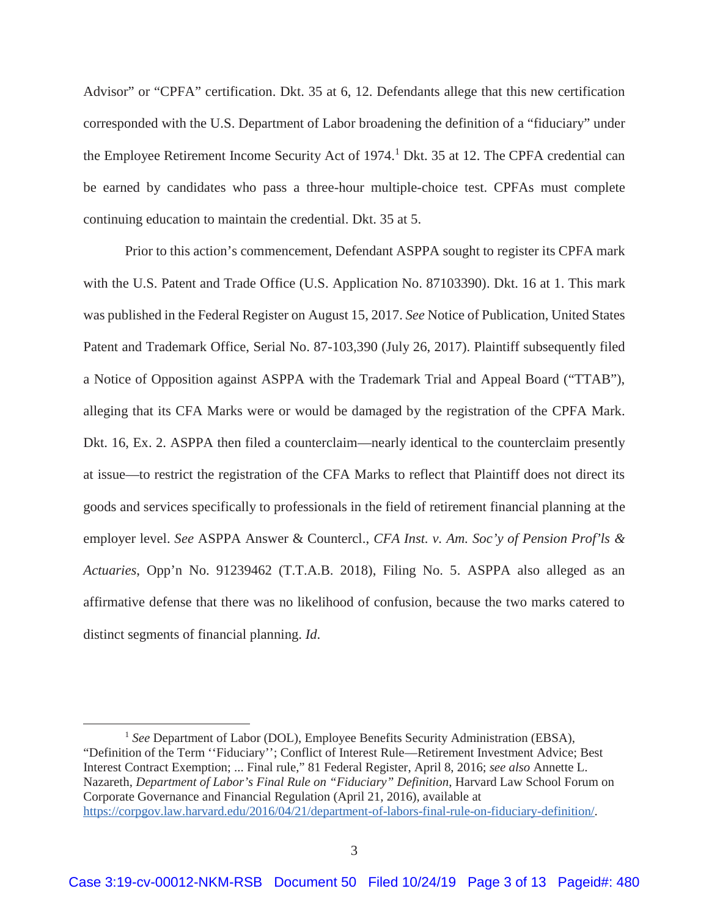Advisor" or "CPFA" certification. Dkt. 35 at 6, 12. Defendants allege that this new certification corresponded with the U.S. Department of Labor broadening the definition of a "fiduciary" under the Employee Retirement Income Security Act of 1974.<sup>1</sup> Dkt. 35 at 12. The CPFA credential can be earned by candidates who pass a three-hour multiple-choice test. CPFAs must complete continuing education to maintain the credential. Dkt. 35 at 5.

Prior to this action's commencement, Defendant ASPPA sought to register its CPFA mark with the U.S. Patent and Trade Office (U.S. Application No. 87103390). Dkt. 16 at 1. This mark was published in the Federal Register on August 15, 2017. *See* Notice of Publication, United States Patent and Trademark Office, Serial No. 87-103,390 (July 26, 2017). Plaintiff subsequently filed a Notice of Opposition against ASPPA with the Trademark Trial and Appeal Board ("TTAB"), alleging that its CFA Marks were or would be damaged by the registration of the CPFA Mark. Dkt. 16, Ex. 2. ASPPA then filed a counterclaim—nearly identical to the counterclaim presently at issue—to restrict the registration of the CFA Marks to reflect that Plaintiff does not direct its goods and services specifically to professionals in the field of retirement financial planning at the employer level. *See* ASPPA Answer & Countercl., *CFA Inst. v. Am. Soc'y of Pension Prof'ls & Actuaries*, Opp'n No. 91239462 (T.T.A.B. 2018), Filing No. 5. ASPPA also alleged as an affirmative defense that there was no likelihood of confusion, because the two marks catered to distinct segments of financial planning. *Id*.

<sup>&</sup>lt;sup>1</sup> See Department of Labor (DOL), Employee Benefits Security Administration (EBSA), "Definition of the Term ''Fiduciary''; Conflict of Interest Rule—Retirement Investment Advice; Best Interest Contract Exemption; ... Final rule," 81 Federal Register, April 8, 2016; *see also* Annette L. Nazareth, *Department of Labor's Final Rule on "Fiduciary" Definition*, Harvard Law School Forum on Corporate Governance and Financial Regulation (April 21, 2016), available at https://corpgov.law.harvard.edu/2016/04/21/department-of-labors-final-rule-on-fiduciary-definition/.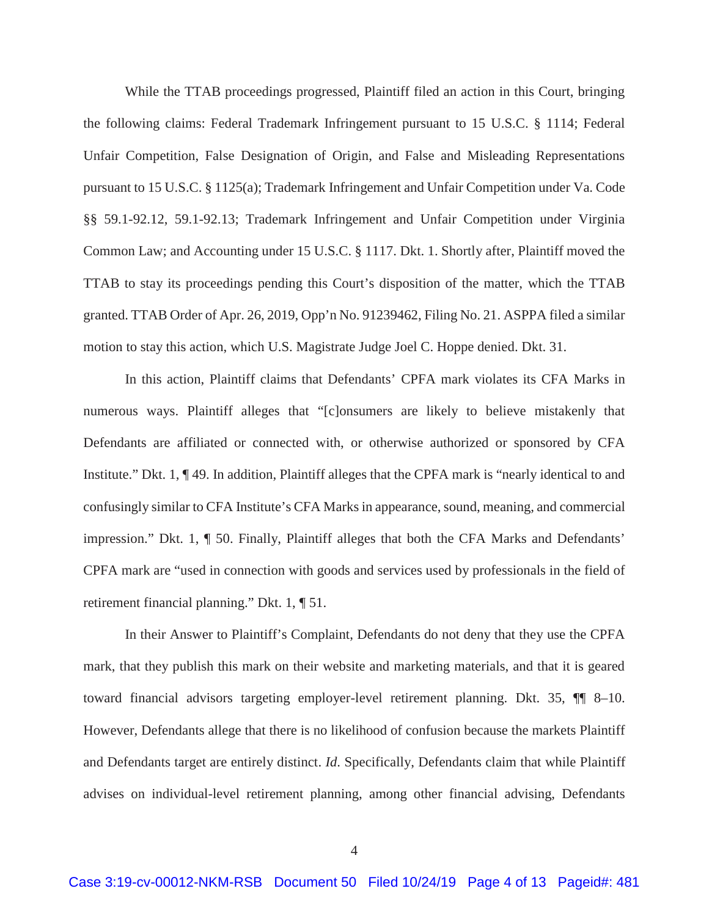While the TTAB proceedings progressed, Plaintiff filed an action in this Court, bringing the following claims: Federal Trademark Infringement pursuant to 15 U.S.C. § 1114; Federal Unfair Competition, False Designation of Origin, and False and Misleading Representations pursuant to 15 U.S.C. § 1125(a); Trademark Infringement and Unfair Competition under Va. Code §§ 59.1-92.12, 59.1-92.13; Trademark Infringement and Unfair Competition under Virginia Common Law; and Accounting under 15 U.S.C. § 1117. Dkt. 1. Shortly after, Plaintiff moved the TTAB to stay its proceedings pending this Court's disposition of the matter, which the TTAB granted. TTAB Order of Apr. 26, 2019, Opp'n No. 91239462, Filing No. 21. ASPPA filed a similar motion to stay this action, which U.S. Magistrate Judge Joel C. Hoppe denied. Dkt. 31.

In this action, Plaintiff claims that Defendants' CPFA mark violates its CFA Marks in numerous ways. Plaintiff alleges that "[c]onsumers are likely to believe mistakenly that Defendants are affiliated or connected with, or otherwise authorized or sponsored by CFA Institute." Dkt. 1, ¶ 49. In addition, Plaintiff alleges that the CPFA mark is "nearly identical to and confusingly similar to CFA Institute's CFA Marks in appearance, sound, meaning, and commercial impression." Dkt. 1, ¶ 50. Finally, Plaintiff alleges that both the CFA Marks and Defendants' CPFA mark are "used in connection with goods and services used by professionals in the field of retirement financial planning." Dkt. 1, ¶ 51.

In their Answer to Plaintiff's Complaint, Defendants do not deny that they use the CPFA mark, that they publish this mark on their website and marketing materials, and that it is geared toward financial advisors targeting employer-level retirement planning. Dkt. 35, ¶¶ 8–10. However, Defendants allege that there is no likelihood of confusion because the markets Plaintiff and Defendants target are entirely distinct. *Id*. Specifically, Defendants claim that while Plaintiff advises on individual-level retirement planning, among other financial advising, Defendants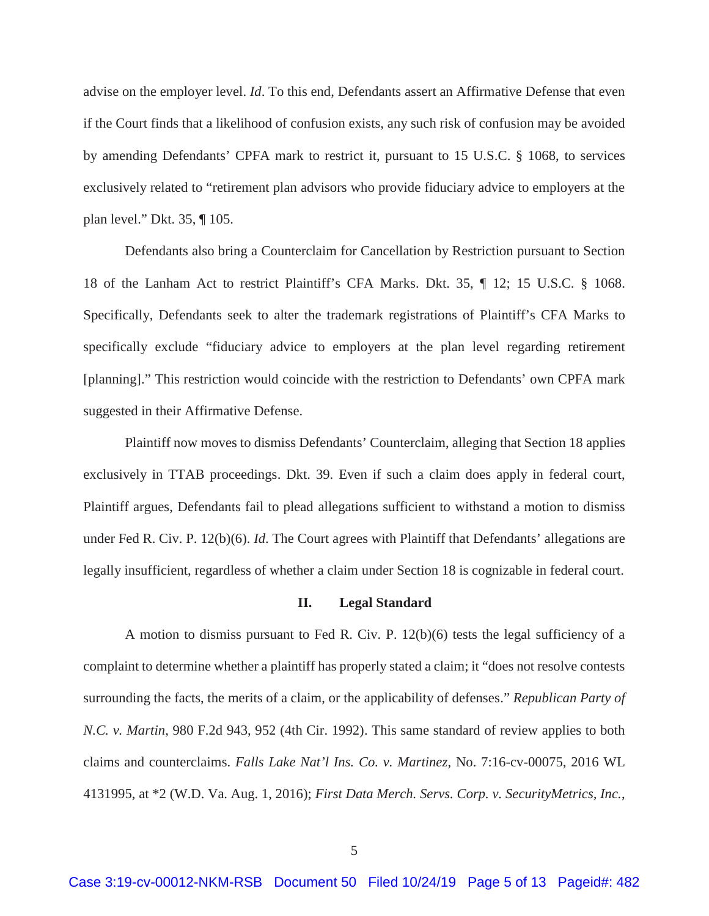advise on the employer level. *Id*. To this end, Defendants assert an Affirmative Defense that even if the Court finds that a likelihood of confusion exists, any such risk of confusion may be avoided by amending Defendants' CPFA mark to restrict it, pursuant to 15 U.S.C. § 1068, to services exclusively related to "retirement plan advisors who provide fiduciary advice to employers at the plan level." Dkt. 35, ¶ 105.

Defendants also bring a Counterclaim for Cancellation by Restriction pursuant to Section 18 of the Lanham Act to restrict Plaintiff's CFA Marks. Dkt. 35, ¶ 12; 15 U.S.C. § 1068. Specifically, Defendants seek to alter the trademark registrations of Plaintiff's CFA Marks to specifically exclude "fiduciary advice to employers at the plan level regarding retirement [planning]." This restriction would coincide with the restriction to Defendants' own CPFA mark suggested in their Affirmative Defense.

 Plaintiff now moves to dismiss Defendants' Counterclaim, alleging that Section 18 applies exclusively in TTAB proceedings. Dkt. 39. Even if such a claim does apply in federal court, Plaintiff argues, Defendants fail to plead allegations sufficient to withstand a motion to dismiss under Fed R. Civ. P. 12(b)(6). *Id*. The Court agrees with Plaintiff that Defendants' allegations are legally insufficient, regardless of whether a claim under Section 18 is cognizable in federal court.

## **II. Legal Standard**

A motion to dismiss pursuant to Fed R. Civ. P. 12(b)(6) tests the legal sufficiency of a complaint to determine whether a plaintiff has properly stated a claim; it "does not resolve contests surrounding the facts, the merits of a claim, or the applicability of defenses." *Republican Party of N.C. v. Martin*, 980 F.2d 943, 952 (4th Cir. 1992). This same standard of review applies to both claims and counterclaims. *Falls Lake Nat'l Ins. Co. v. Martinez*, No. 7:16-cv-00075, 2016 WL 4131995, at \*2 (W.D. Va. Aug. 1, 2016); *First Data Merch. Servs. Corp. v. SecurityMetrics, Inc.*,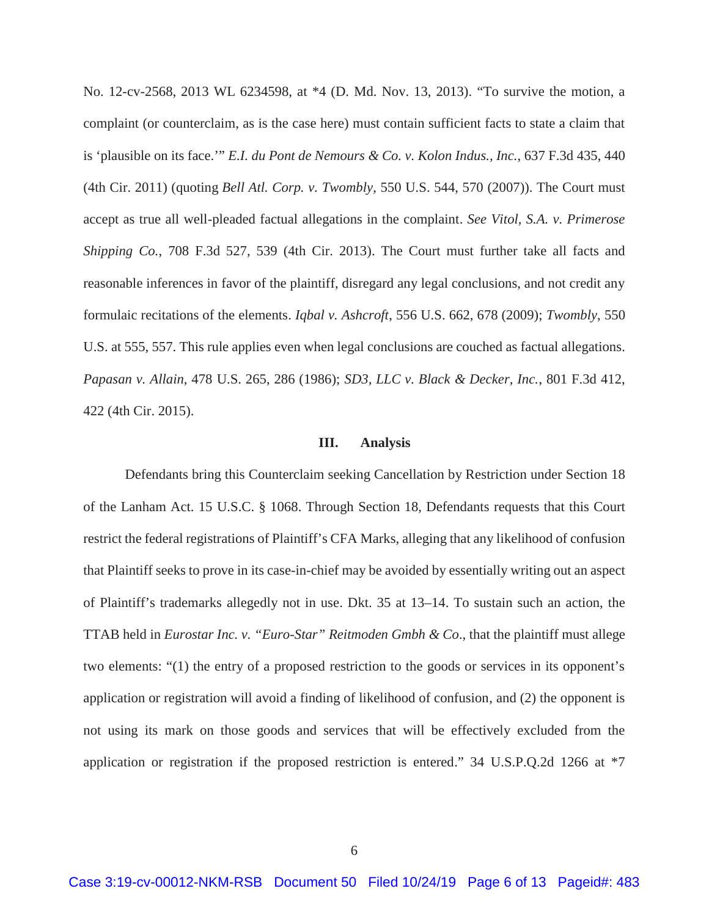No. 12-cv-2568, 2013 WL 6234598, at \*4 (D. Md. Nov. 13, 2013). "To survive the motion, a complaint (or counterclaim, as is the case here) must contain sufficient facts to state a claim that is 'plausible on its face.'" *E.I. du Pont de Nemours & Co. v. Kolon Indus., Inc.*, 637 F.3d 435, 440 (4th Cir. 2011) (quoting *Bell Atl. Corp. v. Twombly*, 550 U.S. 544, 570 (2007)). The Court must accept as true all well-pleaded factual allegations in the complaint. *See Vitol, S.A. v. Primerose Shipping Co.*, 708 F.3d 527, 539 (4th Cir. 2013). The Court must further take all facts and reasonable inferences in favor of the plaintiff, disregard any legal conclusions, and not credit any formulaic recitations of the elements. *Iqbal v. Ashcroft*, 556 U.S. 662, 678 (2009); *Twombly*, 550 U.S. at 555, 557. This rule applies even when legal conclusions are couched as factual allegations. *Papasan v. Allain*, 478 U.S. 265, 286 (1986); *SD3, LLC v. Black & Decker, Inc.*, 801 F.3d 412, 422 (4th Cir. 2015).

#### **III. Analysis**

Defendants bring this Counterclaim seeking Cancellation by Restriction under Section 18 of the Lanham Act. 15 U.S.C. § 1068. Through Section 18, Defendants requests that this Court restrict the federal registrations of Plaintiff's CFA Marks, alleging that any likelihood of confusion that Plaintiff seeks to prove in its case-in-chief may be avoided by essentially writing out an aspect of Plaintiff's trademarks allegedly not in use. Dkt. 35 at 13–14. To sustain such an action, the TTAB held in *Eurostar Inc. v. "Euro-Star" Reitmoden Gmbh & Co*., that the plaintiff must allege two elements: "(1) the entry of a proposed restriction to the goods or services in its opponent's application or registration will avoid a finding of likelihood of confusion, and (2) the opponent is not using its mark on those goods and services that will be effectively excluded from the application or registration if the proposed restriction is entered." 34 U.S.P.Q.2d 1266 at \*7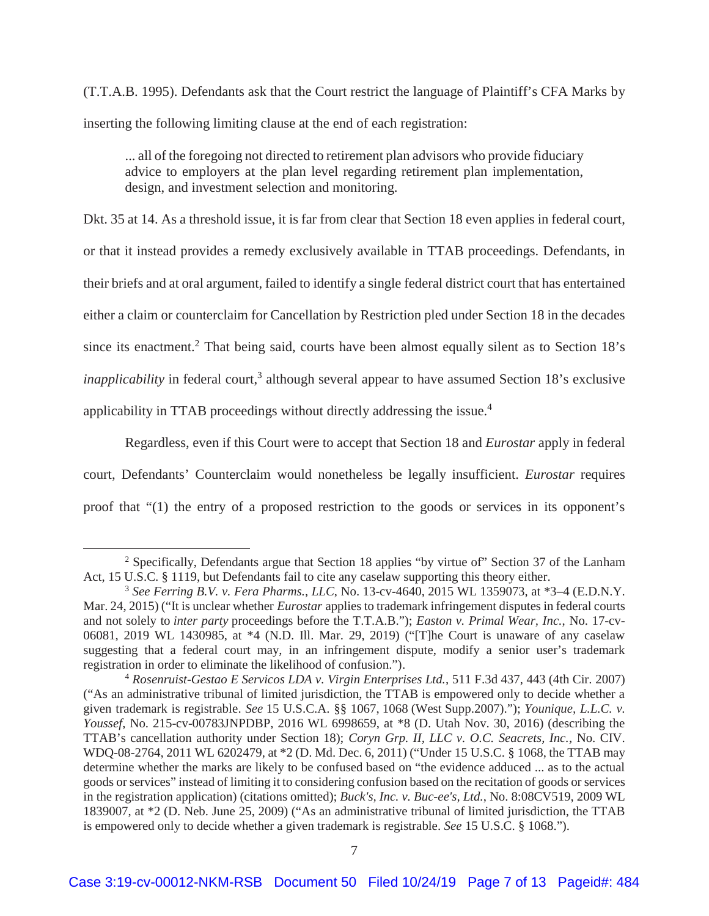(T.T.A.B. 1995). Defendants ask that the Court restrict the language of Plaintiff's CFA Marks by inserting the following limiting clause at the end of each registration:

... all of the foregoing not directed to retirement plan advisors who provide fiduciary advice to employers at the plan level regarding retirement plan implementation, design, and investment selection and monitoring.

Dkt. 35 at 14. As a threshold issue, it is far from clear that Section 18 even applies in federal court, or that it instead provides a remedy exclusively available in TTAB proceedings. Defendants, in their briefs and at oral argument, failed to identify a single federal district court that has entertained either a claim or counterclaim for Cancellation by Restriction pled under Section 18 in the decades since its enactment.<sup>2</sup> That being said, courts have been almost equally silent as to Section  $18$ 's *inapplicability* in federal court,<sup>3</sup> although several appear to have assumed Section 18's exclusive applicability in TTAB proceedings without directly addressing the issue.<sup>4</sup>

Regardless, even if this Court were to accept that Section 18 and *Eurostar* apply in federal court, Defendants' Counterclaim would nonetheless be legally insufficient. *Eurostar* requires proof that "(1) the entry of a proposed restriction to the goods or services in its opponent's

<sup>&</sup>lt;sup>2</sup> Specifically, Defendants argue that Section 18 applies "by virtue of" Section 37 of the Lanham Act, 15 U.S.C. § 1119, but Defendants fail to cite any caselaw supporting this theory either.

<sup>3</sup> *See Ferring B.V. v. Fera Pharms.*, *LLC*, No. 13-cv-4640, 2015 WL 1359073, at \*3–4 (E.D.N.Y. Mar. 24, 2015) ("It is unclear whether *Eurostar* applies to trademark infringement disputes in federal courts and not solely to *inter party* proceedings before the T.T.A.B."); *Easton v. Primal Wear, Inc.*, No. 17-cv-06081, 2019 WL 1430985, at \*4 (N.D. Ill. Mar. 29, 2019) ("[T]he Court is unaware of any caselaw suggesting that a federal court may, in an infringement dispute, modify a senior user's trademark registration in order to eliminate the likelihood of confusion.").

<sup>&</sup>lt;sup>4</sup> Rosenruist-Gestao E Servicos LDA v. Virgin Enterprises Ltd., 511 F.3d 437, 443 (4th Cir. 2007) ("As an administrative tribunal of limited jurisdiction, the TTAB is empowered only to decide whether a given trademark is registrable. *See* 15 U.S.C.A. §§ 1067, 1068 (West Supp.2007)."); *Younique, L.L.C. v. Youssef*, No. 215-cv-00783JNPDBP, 2016 WL 6998659, at \*8 (D. Utah Nov. 30, 2016) (describing the TTAB's cancellation authority under Section 18); *Coryn Grp. II, LLC v. O.C. Seacrets, Inc.*, No. CIV. WDQ-08-2764, 2011 WL 6202479, at \*2 (D. Md. Dec. 6, 2011) ("Under 15 U.S.C. § 1068, the TTAB may determine whether the marks are likely to be confused based on "the evidence adduced ... as to the actual goods or services" instead of limiting it to considering confusion based on the recitation of goods or services in the registration application) (citations omitted); *Buck's, Inc. v. Buc-ee's, Ltd.*, No. 8:08CV519, 2009 WL 1839007, at \*2 (D. Neb. June 25, 2009) ("As an administrative tribunal of limited jurisdiction, the TTAB is empowered only to decide whether a given trademark is registrable. *See* 15 U.S.C. § 1068.").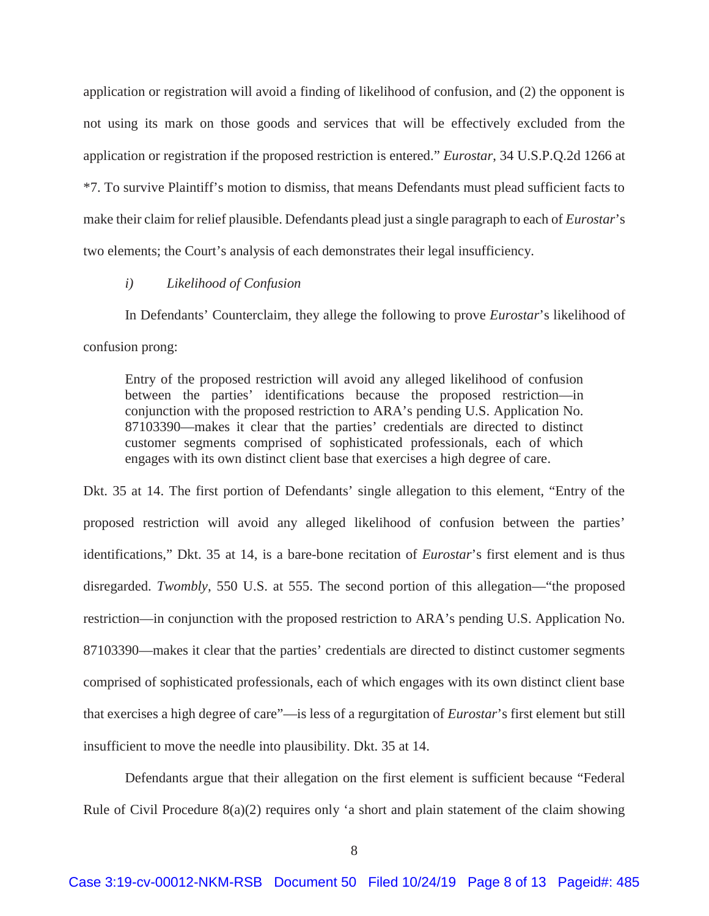application or registration will avoid a finding of likelihood of confusion, and (2) the opponent is not using its mark on those goods and services that will be effectively excluded from the application or registration if the proposed restriction is entered." *Eurostar*, 34 U.S.P.Q.2d 1266 at \*7. To survive Plaintiff's motion to dismiss, that means Defendants must plead sufficient facts to make their claim for relief plausible. Defendants plead just a single paragraph to each of *Eurostar*'s two elements; the Court's analysis of each demonstrates their legal insufficiency.

## *i) Likelihood of Confusion*

In Defendants' Counterclaim, they allege the following to prove *Eurostar*'s likelihood of confusion prong:

Entry of the proposed restriction will avoid any alleged likelihood of confusion between the parties' identifications because the proposed restriction—in conjunction with the proposed restriction to ARA's pending U.S. Application No. 87103390—makes it clear that the parties' credentials are directed to distinct customer segments comprised of sophisticated professionals, each of which engages with its own distinct client base that exercises a high degree of care.

Dkt. 35 at 14. The first portion of Defendants' single allegation to this element, "Entry of the proposed restriction will avoid any alleged likelihood of confusion between the parties' identifications," Dkt. 35 at 14, is a bare-bone recitation of *Eurostar*'s first element and is thus disregarded. *Twombly*, 550 U.S. at 555. The second portion of this allegation—"the proposed restriction—in conjunction with the proposed restriction to ARA's pending U.S. Application No. 87103390—makes it clear that the parties' credentials are directed to distinct customer segments comprised of sophisticated professionals, each of which engages with its own distinct client base that exercises a high degree of care"—is less of a regurgitation of *Eurostar*'s first element but still insufficient to move the needle into plausibility. Dkt. 35 at 14.

Defendants argue that their allegation on the first element is sufficient because "Federal Rule of Civil Procedure  $8(a)(2)$  requires only 'a short and plain statement of the claim showing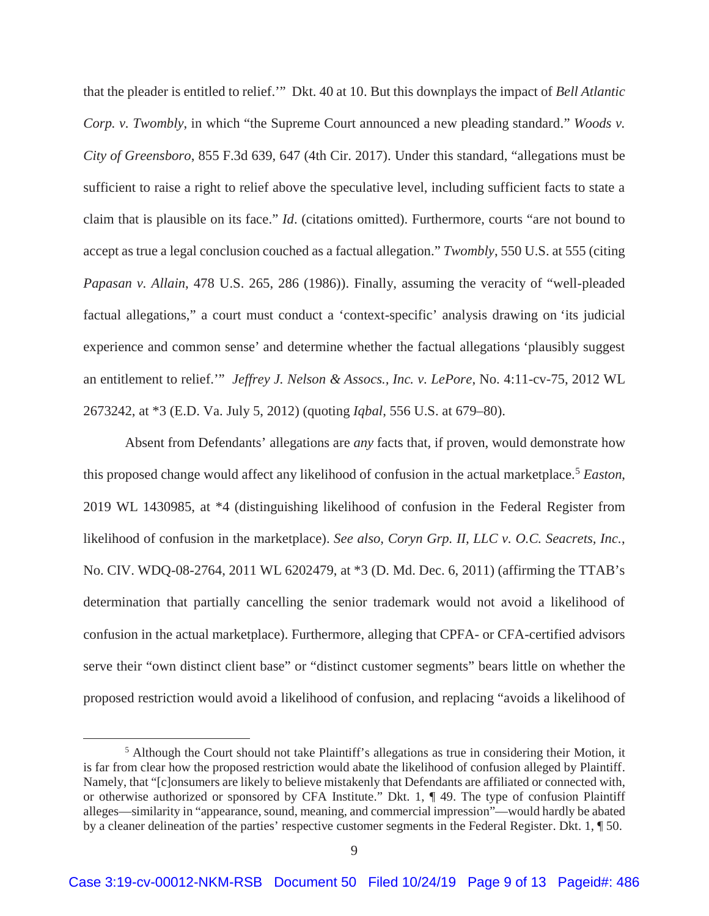that the pleader is entitled to relief.'" Dkt. 40 at 10. But this downplays the impact of *Bell Atlantic Corp. v. Twombly*, in which "the Supreme Court announced a new pleading standard." *Woods v. City of Greensboro*, 855 F.3d 639, 647 (4th Cir. 2017). Under this standard, "allegations must be sufficient to raise a right to relief above the speculative level, including sufficient facts to state a claim that is plausible on its face." *Id*. (citations omitted). Furthermore, courts "are not bound to accept as true a legal conclusion couched as a factual allegation." *Twombly*, 550 U.S. at 555 (citing *Papasan v. Allain*, 478 U.S. 265, 286 (1986)). Finally, assuming the veracity of "well-pleaded factual allegations," a court must conduct a 'context-specific' analysis drawing on 'its judicial experience and common sense' and determine whether the factual allegations 'plausibly suggest an entitlement to relief.'" *Jeffrey J. Nelson & Assocs., Inc. v. LePore*, No. 4:11-cv-75, 2012 WL 2673242, at \*3 (E.D. Va. July 5, 2012) (quoting *Iqbal*, 556 U.S. at 679–80).

Absent from Defendants' allegations are *any* facts that, if proven, would demonstrate how this proposed change would affect any likelihood of confusion in the actual marketplace.<sup>5</sup> *Easton*, 2019 WL 1430985, at \*4 (distinguishing likelihood of confusion in the Federal Register from likelihood of confusion in the marketplace). *See also, Coryn Grp. II, LLC v. O.C. Seacrets, Inc.*, No. CIV. WDQ-08-2764, 2011 WL 6202479, at \*3 (D. Md. Dec. 6, 2011) (affirming the TTAB's determination that partially cancelling the senior trademark would not avoid a likelihood of confusion in the actual marketplace). Furthermore, alleging that CPFA- or CFA-certified advisors serve their "own distinct client base" or "distinct customer segments" bears little on whether the proposed restriction would avoid a likelihood of confusion, and replacing "avoids a likelihood of

 $rac{1}{5}$ <sup>5</sup> Although the Court should not take Plaintiff's allegations as true in considering their Motion, it is far from clear how the proposed restriction would abate the likelihood of confusion alleged by Plaintiff. Namely, that "[c]onsumers are likely to believe mistakenly that Defendants are affiliated or connected with, or otherwise authorized or sponsored by CFA Institute." Dkt. 1, ¶ 49. The type of confusion Plaintiff alleges—similarity in "appearance, sound, meaning, and commercial impression"—would hardly be abated by a cleaner delineation of the parties' respective customer segments in the Federal Register. Dkt. 1, ¶ 50.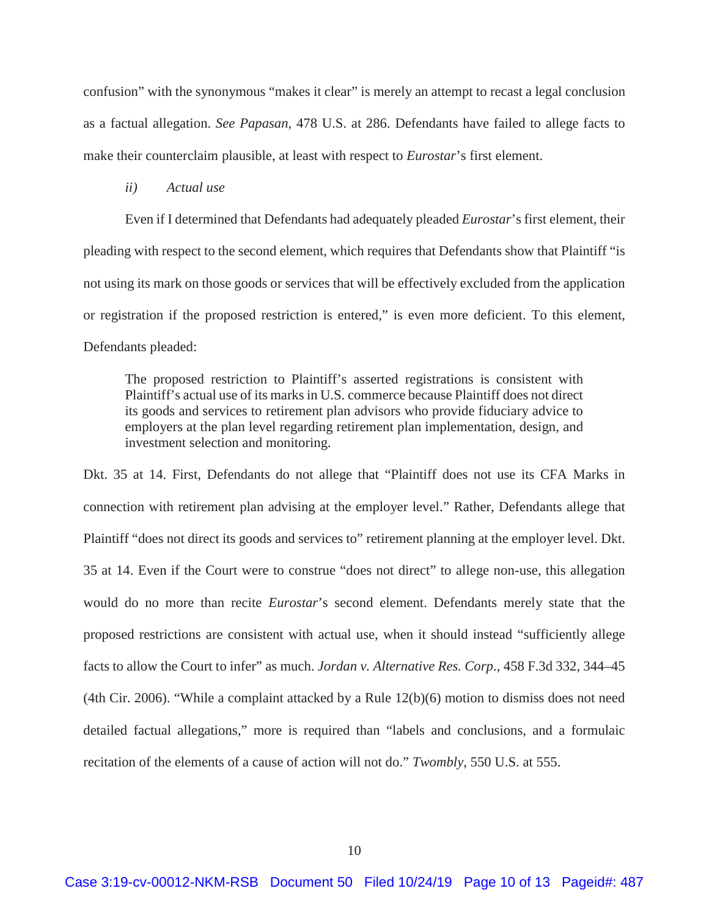confusion" with the synonymous "makes it clear" is merely an attempt to recast a legal conclusion as a factual allegation. *See Papasan*, 478 U.S. at 286. Defendants have failed to allege facts to make their counterclaim plausible, at least with respect to *Eurostar*'s first element.

## *ii) Actual use*

Even if I determined that Defendants had adequately pleaded *Eurostar*'s first element, their pleading with respect to the second element, which requires that Defendants show that Plaintiff "is not using its mark on those goods or services that will be effectively excluded from the application or registration if the proposed restriction is entered," is even more deficient. To this element, Defendants pleaded:

The proposed restriction to Plaintiff's asserted registrations is consistent with Plaintiff's actual use of its marks in U.S. commerce because Plaintiff does not direct its goods and services to retirement plan advisors who provide fiduciary advice to employers at the plan level regarding retirement plan implementation, design, and investment selection and monitoring.

Dkt. 35 at 14. First, Defendants do not allege that "Plaintiff does not use its CFA Marks in connection with retirement plan advising at the employer level." Rather, Defendants allege that Plaintiff "does not direct its goods and services to" retirement planning at the employer level. Dkt. 35 at 14. Even if the Court were to construe "does not direct" to allege non-use, this allegation would do no more than recite *Eurostar*'s second element. Defendants merely state that the proposed restrictions are consistent with actual use, when it should instead "sufficiently allege facts to allow the Court to infer" as much. *Jordan v. Alternative Res. Corp*., 458 F.3d 332, 344–45 (4th Cir. 2006). "While a complaint attacked by a Rule 12(b)(6) motion to dismiss does not need detailed factual allegations," more is required than "labels and conclusions, and a formulaic recitation of the elements of a cause of action will not do." *Twombly*, 550 U.S. at 555.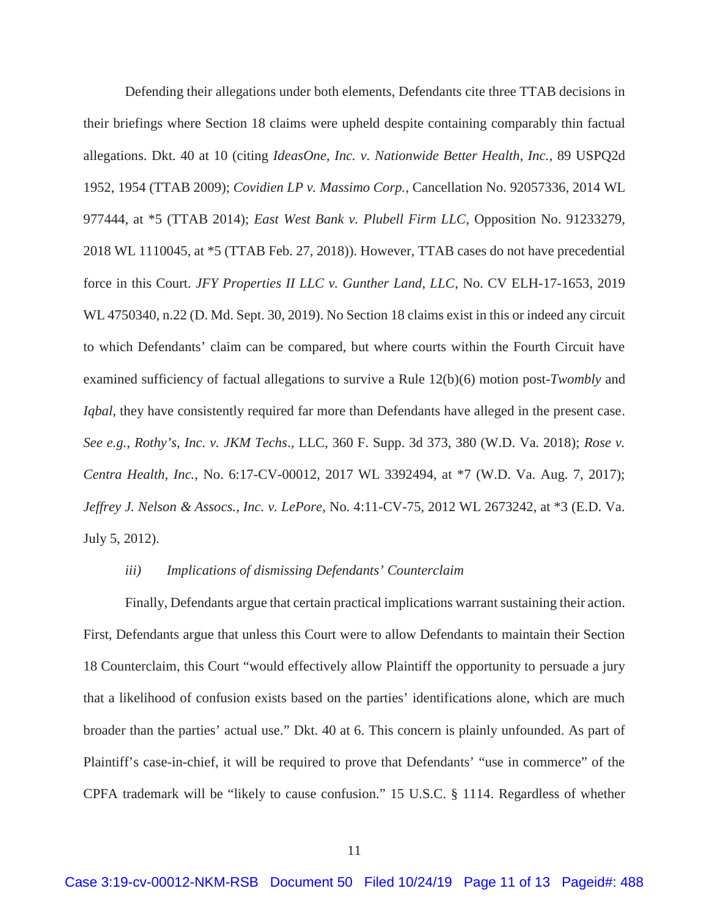Defending their allegations under both elements, Defendants cite three TTAB decisions in their briefings where Section 18 claims were upheld despite containing comparably thin factual allegations. Dkt. 40 at 10 (citing *IdeasOne, Inc. v. Nationwide Better Health, Inc.*, 89 USPQ2d 1952, 1954 (TTAB 2009); *Covidien LP v. Massimo Corp.*, Cancellation No. 92057336, 2014 WL 977444, at \*5 (TTAB 2014); *East West Bank v. Plubell Firm LLC*, Opposition No. 91233279, 2018 WL 1110045, at \*5 (TTAB Feb. 27, 2018)). However, TTAB cases do not have precedential force in this Court. *JFY Properties II LLC v. Gunther Land, LLC*, No. CV ELH-17-1653, 2019 WL 4750340, n.22 (D. Md. Sept. 30, 2019). No Section 18 claims exist in this or indeed any circuit to which Defendants' claim can be compared, but where courts within the Fourth Circuit have examined sufficiency of factual allegations to survive a Rule 12(b)(6) motion post-*Twombly* and *Iqbal*, they have consistently required far more than Defendants have alleged in the present case. *See e.g.*, *Rothy's, Inc. v. JKM Techs*., LLC, 360 F. Supp. 3d 373, 380 (W.D. Va. 2018); *Rose v. Centra Health, Inc.*, No. 6:17-CV-00012, 2017 WL 3392494, at \*7 (W.D. Va. Aug. 7, 2017); *Jeffrey J. Nelson & Assocs., Inc. v. LePore*, No. 4:11-CV-75, 2012 WL 2673242, at \*3 (E.D. Va. July 5, 2012).

## *iii) Implications of dismissing Defendants' Counterclaim*

 Finally, Defendants argue that certain practical implications warrant sustaining their action. First, Defendants argue that unless this Court were to allow Defendants to maintain their Section 18 Counterclaim, this Court "would effectively allow Plaintiff the opportunity to persuade a jury that a likelihood of confusion exists based on the parties' identifications alone, which are much broader than the parties' actual use." Dkt. 40 at 6. This concern is plainly unfounded. As part of Plaintiff's case-in-chief, it will be required to prove that Defendants' "use in commerce" of the CPFA trademark will be "likely to cause confusion." 15 U.S.C. § 1114. Regardless of whether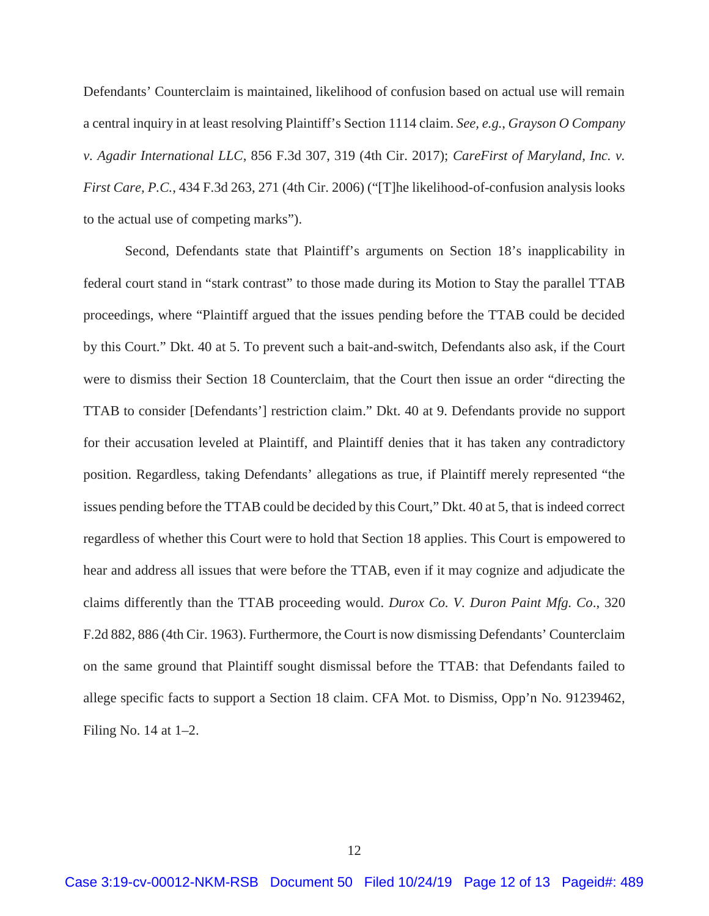Defendants' Counterclaim is maintained, likelihood of confusion based on actual use will remain a central inquiry in at least resolving Plaintiff's Section 1114 claim. *See, e.g.*, *Grayson O Company v. Agadir International LLC*, 856 F.3d 307, 319 (4th Cir. 2017); *CareFirst of Maryland, Inc. v. First Care, P.C.*, 434 F.3d 263, 271 (4th Cir. 2006) ("[T]he likelihood-of-confusion analysis looks to the actual use of competing marks").

 Second, Defendants state that Plaintiff's arguments on Section 18's inapplicability in federal court stand in "stark contrast" to those made during its Motion to Stay the parallel TTAB proceedings, where "Plaintiff argued that the issues pending before the TTAB could be decided by this Court." Dkt. 40 at 5. To prevent such a bait-and-switch, Defendants also ask, if the Court were to dismiss their Section 18 Counterclaim, that the Court then issue an order "directing the TTAB to consider [Defendants'] restriction claim." Dkt. 40 at 9. Defendants provide no support for their accusation leveled at Plaintiff, and Plaintiff denies that it has taken any contradictory position. Regardless, taking Defendants' allegations as true, if Plaintiff merely represented "the issues pending before the TTAB could be decided by this Court," Dkt. 40 at 5, that is indeed correct regardless of whether this Court were to hold that Section 18 applies. This Court is empowered to hear and address all issues that were before the TTAB, even if it may cognize and adjudicate the claims differently than the TTAB proceeding would. *Durox Co. V. Duron Paint Mfg. Co*., 320 F.2d 882, 886 (4th Cir. 1963). Furthermore, the Court is now dismissing Defendants' Counterclaim on the same ground that Plaintiff sought dismissal before the TTAB: that Defendants failed to allege specific facts to support a Section 18 claim. CFA Mot. to Dismiss, Opp'n No. 91239462, Filing No. 14 at 1–2.